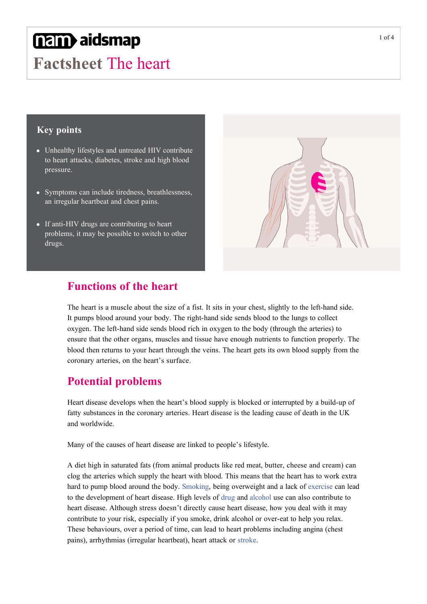# **nam**aidsmap

**Factsheet** The heart

#### **Key points**

- Unhealthy lifestyles and untreated HIV contribute to heart attacks, diabetes, stroke and high blood pressure.
- Symptoms can include tiredness, breathlessness, an irregular heartbeat and chest pains.
- If anti-HIV drugs are contributing to heart problems, it may be possible to switch to other drugs.



### **Functions of the heart**

The heart is a muscle about the size of a fist. It sits in your chest, slightly to the left-hand side. It pumps blood around your body. The right-hand side sends blood to the lungs to collect oxygen. The left-hand side sends blood rich in oxygen to the body (through the arteries) to ensure that the other organs, muscles and tissue have enough nutrients to function properly. The blood then returns to your heart through the veins. The heart gets its own blood supply from the coronary arteries, on the heart's surface.

## **Potential problems**

Heart disease develops when the heart's blood supply is blocked or interrupted by a build-up of fatty substances in the coronary arteries. Heart disease is the leading cause of death in the UK and worldwide.

Many of the causes of heart disease are linked to people's lifestyle.

A diet high in saturated fats (from animal products like red meat, butter, cheese and cream) can clog the arteries which supply the heart with blood. This means that the heart has to work extra hard to pump blood around the body. [Smoking,](http://www.aidsmap.com/Smoking/cat/1481/) being overweight and a lack of [exercise](http://www.aidsmap.com/Exercise/cat/1478/) can lead to the development of heart disease. High levels of [drug](http://www.aidsmap.com/Chemsex-and-recreational-drug-use/cat/1477/) and [alcohol](http://www.aidsmap.com/Alcohol/cat/1674/) use can also contribute to heart disease. Although stress doesn't directly cause heart disease, how you deal with it may contribute to your risk, especially if you smoke, drink alcohol or overeat to help you relax. These behaviours, over a period of time, can lead to heart problems including angina (chest pains), arrhythmias (irregular heartbeat), heart attack or [stroke](http://www.aidsmap.com/Stroke-and-HIV/page/1044786/).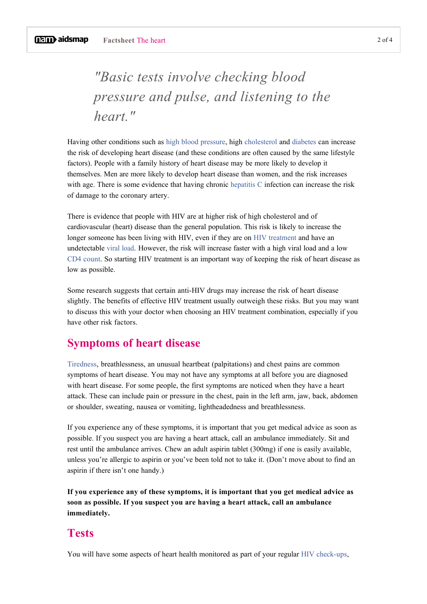# *"Basic tests involve checking blood pressure and pulse, and listening to the heart."*

Having other conditions such as [high blood pressure](http://www.aidsmap.com/High-blood-pressure/page/1044677/), high [cholesterol](http://www.aidsmap.com/Cholesterol/page/1045032/) and [diabetes](http://www.aidsmap.com/Type-2-diabetes-and-HIV/page/1327149/) can increase the risk of developing heart disease (and these conditions are often caused by the same lifestyle factors). People with a family history of heart disease may be more likely to develop it themselves. Men are more likely to develop heart disease than women, and the risk increases with age. There is some evidence that having chronic [hepatitis C](http://www.aidsmap.com/cat/1509/) infection can increase the risk of damage to the coronary artery.

There is evidence that people with HIV are at higher risk of high cholesterol and of cardiovascular (heart) disease than the general population. This risk is likely to increase the longer someone has been living with HIV, even if they are on [HIV treatment](http://www.aidsmap.com/HIV-treatment/cat/1378/) and have an undetectable [viral load.](http://www.aidsmap.com/Viral-load/cat/1657/) However, the risk will increase faster with a high viral load and a low [CD4 count.](http://www.aidsmap.com/CD4-count/cat/1656/) So starting HIV treatment is an important way of keeping the risk of heart disease as low as possible.

Some research suggests that certain anti-HIV drugs may increase the risk of heart disease slightly. The benefits of effective HIV treatment usually outweigh these risks. But you may want to discuss this with your doctor when choosing an HIV treatment combination, especially if you have other risk factors.

#### **Symptoms of heart disease**

[Tiredness,](http://www.aidsmap.com/Tiredness-and-fatigue/page/1044668/) breathlessness, an unusual heartbeat (palpitations) and chest pains are common symptoms of heart disease. You may not have any symptoms at all before you are diagnosed with heart disease. For some people, the first symptoms are noticed when they have a heart attack. These can include pain or pressure in the chest, pain in the left arm, jaw, back, abdomen or shoulder, sweating, nausea or vomiting, lightheadedness and breathlessness.

If you experience any of these symptoms, it is important that you get medical advice as soon as possible. If you suspect you are having a heart attack, call an ambulance immediately. Sit and rest until the ambulance arrives. Chew an adult aspirin tablet (300mg) if one is easily available, unless you're allergic to aspirin or you've been told not to take it. (Don't move about to find an aspirin if there isn't one handy.)

**If you experience any of these symptoms, it is important that you get medical advice as soon as possible. If you suspect you are having a heart attack, call an ambulance immediately.**

#### **Tests**

You will have some aspects of heart health monitored as part of your regular HIV check-ups,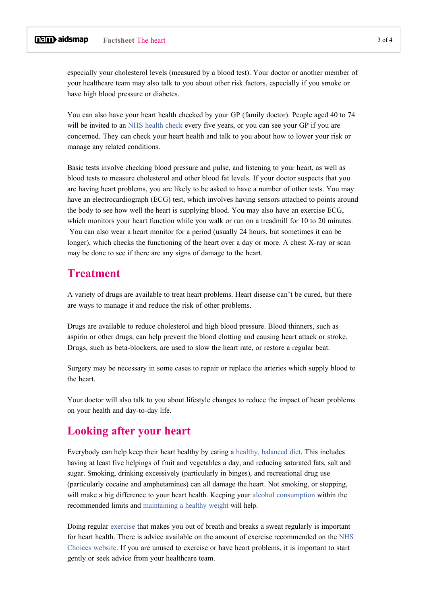especially your cholesterol levels (measured by a blood test). Your doctor or another member of your healthcare team may also talk to you about other risk factors, especially if you smoke or have high blood pressure or diabetes.

You can also have your heart health checked by your GP (family doctor). People aged 40 to 74 will be invited to an [NHS health check](http://www.nhs.uk/Conditions/nhs-health-check/Pages/What-is-an-NHS-Health-Check.aspx) every five years, or you can see your GP if you are concerned. They can check your heart health and talk to you about how to lower your risk or manage any related conditions.

Basic tests involve checking blood pressure and pulse, and listening to your heart, as well as blood tests to measure cholesterol and other blood fat levels. If your doctor suspects that you are having heart problems, you are likely to be asked to have a number of other tests. You may have an electrocardiograph (ECG) test, which involves having sensors attached to points around the body to see how well the heart is supplying blood. You may also have an exercise ECG, which monitors your heart function while you walk or run on a treadmill for 10 to 20 minutes. You can also wear a heart monitor for a period (usually 24 hours, but sometimes it can be longer), which checks the functioning of the heart over a day or more. A chest X-ray or scan may be done to see if there are any signs of damage to the heart.

#### **Treatment**

A variety of drugs are available to treat heart problems. Heart disease can't be cured, but there are ways to manage it and reduce the risk of other problems.

Drugs are available to reduce cholesterol and high blood pressure. Blood thinners, such as aspirin or other drugs, can help prevent the blood clotting and causing heart attack or stroke. Drugs, such as beta-blockers, are used to slow the heart rate, or restore a regular beat.

Surgery may be necessary in some cases to repair or replace the arteries which supply blood to the heart.

Your doctor will also talk to you about lifestyle changes to reduce the impact of heart problems on your health and day-to-day life.

#### **Looking after your heart**

Everybody can help keep their heart healthy by eating a [healthy, balanced diet.](http://www.aidsmap.com/Nutrition/cat/1480/) This includes having at least five helpings of fruit and vegetables a day, and reducing saturated fats, salt and sugar. Smoking, drinking excessively (particularly in binges), and recreational drug use (particularly cocaine and amphetamines) can all damage the heart. Not smoking, or stopping, will make a big difference to your heart health. Keeping your [alcohol consumption](http://www.aidsmap.com/Alcohol/page/2029285/) within the recommended limits and [maintaining a healthy weight](http://www.aidsmap.com/Maintaining-a-healthy-weight/page/2029276/) will help.

Doing regular [exercise](http://www.aidsmap.com/Exercise/page/1188930/) that makes you out of breath and breaks a sweat regularly is important for heart health. There is advice available on the amount of exercise recommended on the [NHS](http://www.nhs.uk/Livewell/fitness/pages/physical-activity-guidelines-for-adults.aspx)  [Choices website](http://www.nhs.uk/Livewell/fitness/pages/physical-activity-guidelines-for-adults.aspx). If you are unused to exercise or have heart problems, it is important to start gently or seek advice from your healthcare team.